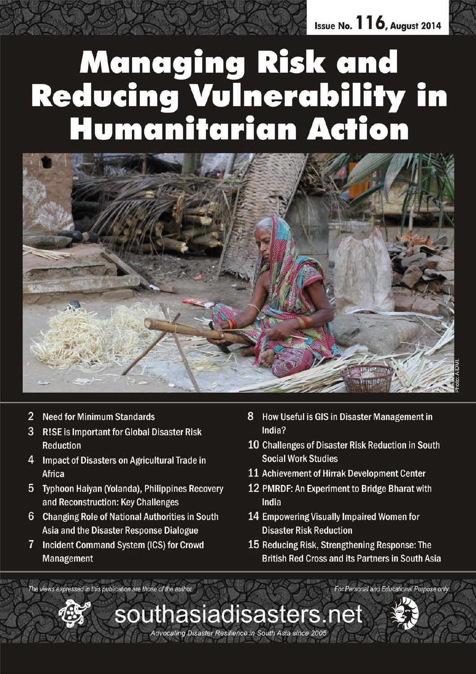Issue No.  $116$ , August 2014

# Managing Risk and<br>Reducing Vulnerability in<br>Humanitarian Action



southasiadisasters.net

Advocating Disaster Resilience in South Asia since 2005

- $\overline{2}$ **Need for Minimum Standards**
- $3<sup>1</sup>$ R!SE is Important for Global Disaster Risk Reduction
- $\overline{4}$ Impact of Disasters on Agricultural Trade in Africa
- 5 Typhoon Haiyan (Yolanda), Philippines Recovery and Reconstruction: Key Challenges
- 6 **Changing Role of National Authorities in South** Asia and the Disaster Response Dialogue
- 7 Incident Command System (ICS) for Crowd Management
- 8 How Useful is GIS in Disaster Management in India?
- 10 Challenges of Disaster Risk Reduction in South **Social Work Studies**
- 11 Achievement of Hirrak Development Center
- 12 PMRDF: An Experiment to Bridge Bharat with India
- 14 Empowering Visually Impaired Women for **Disaster Risk Reduction**
- 15 Reducing Risk, Strengthening Response: The **British Red Cross and its Partners in South Asia**

For Personal and Educational Purpose only

The views expressed in this publication are those of the author.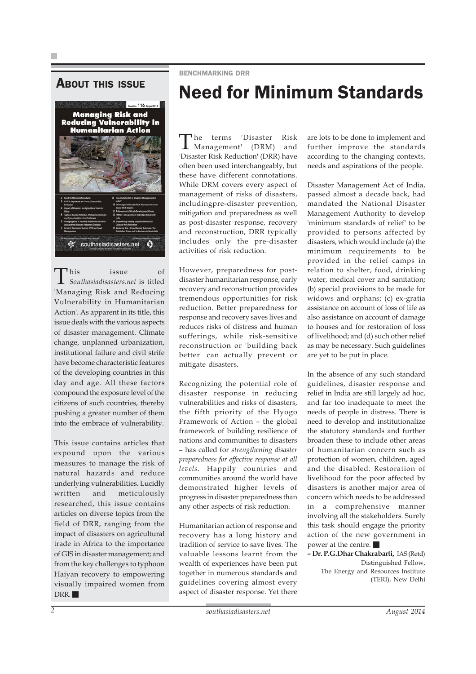## **ABOUT THIS ISSUE**



This issue of *Southasiadisasters.net* is titled 'Managing Risk and Reducing Vulnerability in Humanitarian Action'. As apparent in its title, this issue deals with the various aspects of disaster management. Climate change, unplanned urbanization, institutional failure and civil strife have become characteristic features of the developing countries in this day and age. All these factors compound the exposure level of the citizens of such countries, thereby pushing a greater number of them into the embrace of vulnerability.

This issue contains articles that expound upon the various measures to manage the risk of natural hazards and reduce underlying vulnerabilities. Lucidly written and meticulously researched, this issue contains articles on diverse topics from the field of DRR, ranging from the impact of disasters on agricultural trade in Africa to the importance of GIS in disaster management; and from the key challenges to typhoon Haiyan recovery to empowering visually impaired women from DRR.

BENCHMARKING DRR

# Need for Minimum Standards

The terms 'Disaster Risk Management' (DRM) and 'Disaster Risk Reduction' (DRR) have often been used interchangeably, but these have different connotations. While DRM covers every aspect of management of risks of disasters, includingpre-disaster prevention, mitigation and preparedness as well as post-disaster response, recovery and reconstruction, DRR typically includes only the pre-disaster activities of risk reduction.

However, preparedness for postdisaster humanitarian response, early recovery and reconstruction provides tremendous opportunities for risk reduction. Better preparedness for response and recovery saves lives and reduces risks of distress and human sufferings, while risk-sensitive reconstruction or 'building back better' can actually prevent or mitigate disasters.

Recognizing the potential role of disaster response in reducing vulnerabilities and risks of disasters, the fifth priority of the Hyogo Framework of Action – the global framework of building resilience of nations and communities to disasters – has called for *strengthening disaster preparedness for effective response at all levels*. Happily countries and communities around the world have demonstrated higher levels of progress in disaster preparedness than any other aspects of risk reduction.

Humanitarian action of response and recovery has a long history and tradition of service to save lives. The valuable lessons learnt from the wealth of experiences have been put together in numerous standards and guidelines covering almost every aspect of disaster response. Yet there are lots to be done to implement and further improve the standards according to the changing contexts, needs and aspirations of the people.

Disaster Management Act of India, passed almost a decade back, had mandated the National Disaster Management Authority to develop 'minimum standards of relief' to be provided to persons affected by disasters, which would include (a) the minimum requirements to be provided in the relief camps in relation to shelter, food, drinking water, medical cover and sanitation; (b) special provisions to be made for widows and orphans; (c) ex-gratia assistance on account of loss of life as also assistance on account of damage to houses and for restoration of loss of livelihood; and (d) such other relief as may be necessary. Such guidelines are yet to be put in place.

In the absence of any such standard guidelines, disaster response and relief in India are still largely ad hoc, and far too inadequate to meet the needs of people in distress. There is need to develop and institutionalize the statutory standards and further broaden these to include other areas of humanitarian concern such as protection of women, children, aged and the disabled. Restoration of livelihood for the poor affected by disasters is another major area of concern which needs to be addressed in a comprehensive manner involving all the stakeholders. Surely this task should engage the priority action of the new government in power at the centre.

**– Dr. P.G.Dhar Chakrabarti,** IAS (Retd) Distinguished Fellow, The Energy and Resources Institute (TERI), New Delhi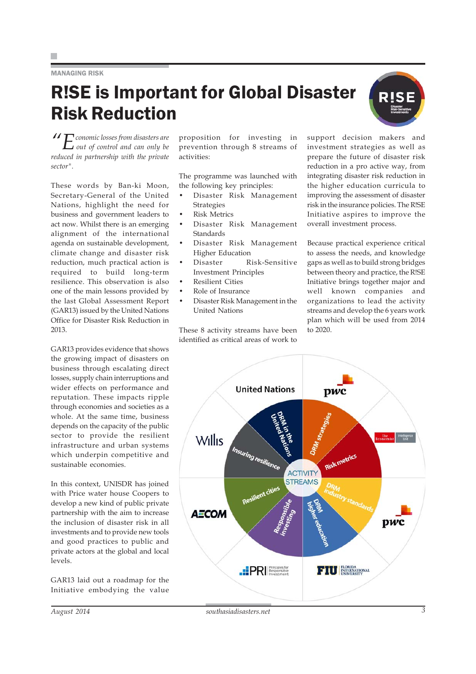## MANAGING RISK

# R!SE is Important for Global Disaster Risk Reduction

*"Economic losses from disasters are out of control and can only be reduced in partnership with the private sector".*

These words by Ban-ki Moon, Secretary-General of the United Nations, highlight the need for business and government leaders to act now. Whilst there is an emerging alignment of the international agenda on sustainable development, climate change and disaster risk reduction, much practical action is required to build long-term resilience. This observation is also one of the main lessons provided by the last Global Assessment Report (GAR13) issued by the United Nations Office for Disaster Risk Reduction in 2013.

GAR13 provides evidence that shows the growing impact of disasters on business through escalating direct losses, supply chain interruptions and wider effects on performance and reputation. These impacts ripple through economies and societies as a whole. At the same time, business depends on the capacity of the public sector to provide the resilient infrastructure and urban systems which underpin competitive and sustainable economies.

In this context, UNISDR has joined with Price water house Coopers to develop a new kind of public private partnership with the aim to increase the inclusion of disaster risk in all investments and to provide new tools and good practices to public and private actors at the global and local levels.

GAR13 laid out a roadmap for the Initiative embodying the value

proposition for investing in prevention through 8 streams of activities:

The programme was launched with the following key principles:

- Disaster Risk Management Strategies
- Risk Metrics
- Disaster Risk Management **Standards**
- Disaster Risk Management Higher Education
- Disaster Risk-Sensitive Investment Principles
- Resilient Cities
- Role of Insurance
- Disaster Risk Management in the United Nations

These 8 activity streams have been identified as critical areas of work to

support decision makers and investment strategies as well as prepare the future of disaster risk reduction in a pro active way, from integrating disaster risk reduction in the higher education curricula to improving the assessment of disaster risk in the insurance policies. The R!SE Initiative aspires to improve the overall investment process.

Because practical experience critical to assess the needs, and knowledge gaps as well as to build strong bridges between theory and practice, the R!SE Initiative brings together major and well known companies and organizations to lead the activity streams and develop the 6 years work plan which will be used from 2014 to 2020.

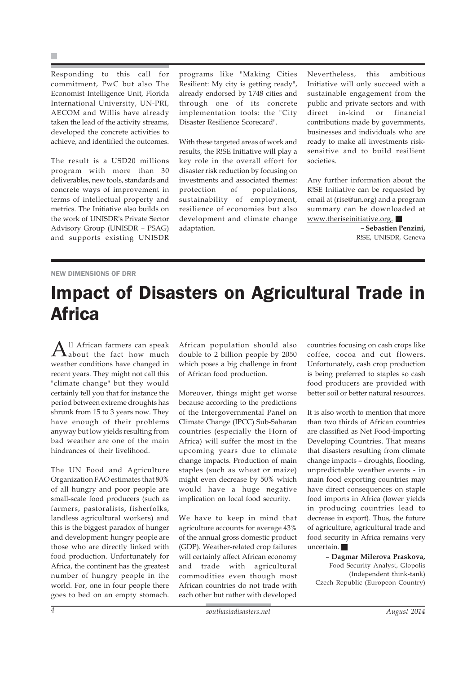×

Responding to this call for commitment, PwC but also The Economist Intelligence Unit, Florida International University, UN-PRI, AECOM and Willis have already taken the lead of the activity streams, developed the concrete activities to achieve, and identified the outcomes.

The result is a USD20 millions program with more than 30 deliverables, new tools, standards and concrete ways of improvement in terms of intellectual property and metrics. The Initiative also builds on the work of UNISDR's Private Sector Advisory Group (UNISDR – PSAG) and supports existing UNISDR

programs like "Making Cities Resilient: My city is getting ready", already endorsed by 1748 cities and through one of its concrete implementation tools: the "City Disaster Resilience Scorecard".

With these targeted areas of work and results, the R!SE Initiative will play a key role in the overall effort for disaster risk reduction by focusing on investments and associated themes: protection of populations, sustainability of employment, resilience of economies but also development and climate change adaptation.

Nevertheless, this ambitious Initiative will only succeed with a sustainable engagement from the public and private sectors and with direct in-kind or financial contributions made by governments, businesses and individuals who are ready to make all investments risksensitive and to build resilient societies.

Any further information about the R!SE Initiative can be requested by email at (rise@un.org) and a program summary can be downloaded at www.theriseinitiative.org.

> **– Sebastien Penzini,** R!SE, UNISDR, Geneva

## NEW DIMENSIONS OF DRR

# Impact of Disasters on Agricultural Trade in **Africa**

 ${\rm A}^{\scriptscriptstyle \rm ll}$  African farmers can speak<br>the fact how much weather conditions have changed in recent years. They might not call this "climate change" but they would certainly tell you that for instance the period between extreme droughts has shrunk from 15 to 3 years now. They have enough of their problems anyway but low yields resulting from bad weather are one of the main hindrances of their livelihood.

The UN Food and Agriculture Organization FAO estimates that 80% of all hungry and poor people are small-scale food producers (such as farmers, pastoralists, fisherfolks, landless agricultural workers) and this is the biggest paradox of hunger and development: hungry people are those who are directly linked with food production. Unfortunately for Africa, the continent has the greatest number of hungry people in the world. For, one in four people there goes to bed on an empty stomach.

African population should also double to 2 billion people by 2050 which poses a big challenge in front of African food production.

Moreover, things might get worse because according to the predictions of the Intergovernmental Panel on Climate Change (IPCC) Sub-Saharan countries (especially the Horn of Africa) will suffer the most in the upcoming years due to climate change impacts. Production of main staples (such as wheat or maize) might even decrease by 50% which would have a huge negative implication on local food security.

We have to keep in mind that agriculture accounts for average 43% of the annual gross domestic product (GDP). Weather-related crop failures will certainly affect African economy and trade with agricultural commodities even though most African countries do not trade with each other but rather with developed

countries focusing on cash crops like coffee, cocoa and cut flowers. Unfortunately, cash crop production is being preferred to staples so cash food producers are provided with better soil or better natural resources.

It is also worth to mention that more than two thirds of African countries are classified as Net Food-Importing Developing Countries. That means that disasters resulting from climate change impacts – droughts, flooding, unpredictable weather events - in main food exporting countries may have direct consequences on staple food imports in Africa (lower yields in producing countries lead to decrease in export). Thus, the future of agriculture, agricultural trade and food security in Africa remains very uncertain.

– **Dagmar Milerova Praskova,** Food Security Analyst, Glopolis (Independent think-tank) Czech Republic (Europeon Country)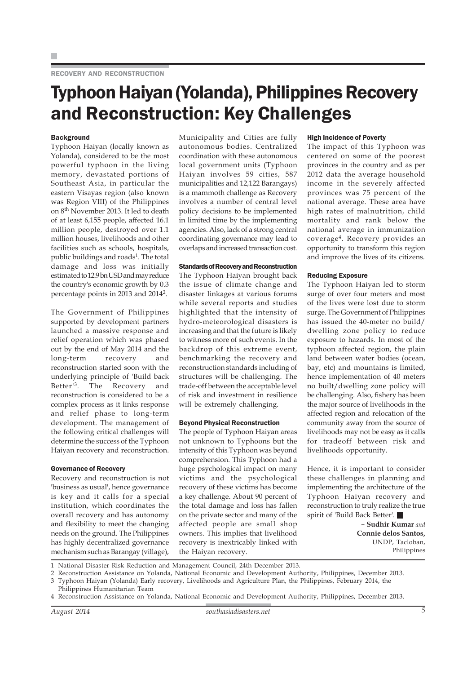## RECOVERY AND RECONSTRUCTION

# Typhoon Haiyan (Yolanda), Philippines Recovery and Reconstruction: Key Challenges

## **Background**

Typhoon Haiyan (locally known as Yolanda), considered to be the most powerful typhoon in the living memory, devastated portions of Southeast Asia, in particular the eastern Visayas region (also known was Region VIII) of the Philippines on 8th November 2013. It led to death of at least 6,155 people, affected 16.1 million people, destroyed over 1.1 million houses, livelihoods and other facilities such as schools, hospitals, public buildings and roads<sup>1</sup>. The total damage and loss was initially estimated to 12.9 bn USD and may reduce the country's economic growth by 0.3 percentage points in 2013 and 20142.

The Government of Philippines supported by development partners launched a massive response and relief operation which was phased out by the end of May 2014 and the long-term recovery and reconstruction started soon with the underlying principle of 'Build back Better'3. The Recovery and reconstruction is considered to be a complex process as it links response and relief phase to long-term development. The management of the following critical challenges will determine the success of the Typhoon Haiyan recovery and reconstruction.

## Governance of Recovery

Recovery and reconstruction is not 'business as usual', hence governance is key and it calls for a special institution, which coordinates the overall recovery and has autonomy and flexibility to meet the changing needs on the ground. The Philippines has highly decentralized governance mechanism such as Barangay (village),

Municipality and Cities are fully autonomous bodies. Centralized coordination with these autonomous local government units (Typhoon Haiyan involves 59 cities, 587 municipalities and 12,122 Barangays) is a mammoth challenge as Recovery involves a number of central level policy decisions to be implemented in limited time by the implementing agencies. Also, lack of a strong central coordinating governance may lead to overlaps and increased transaction cost.

## Standards of Recovery and Reconstruction

The Typhoon Haiyan brought back the issue of climate change and disaster linkages at various forums while several reports and studies highlighted that the intensity of hydro-meteorological disasters is increasing and that the future is likely to witness more of such events. In the backdrop of this extreme event, benchmarking the recovery and reconstruction standards including of structures will be challenging. The trade-off between the acceptable level of risk and investment in resilience will be extremely challenging.

## Beyond Physical Reconstruction

The people of Typhoon Haiyan areas not unknown to Typhoons but the intensity of this Typhoon was beyond comprehension. This Typhoon had a huge psychological impact on many victims and the psychological recovery of these victims has become a key challenge. About 90 percent of the total damage and loss has fallen on the private sector and many of the affected people are small shop owners. This implies that livelihood recovery is inextricably linked with the Haiyan recovery.

## High Incidence of Poverty

The impact of this Typhoon was centered on some of the poorest provinces in the country and as per 2012 data the average household income in the severely affected provinces was 75 percent of the national average. These area have high rates of malnutrition, child mortality and rank below the national average in immunization coverage4. Recovery provides an opportunity to transform this region and improve the lives of its citizens.

### Reducing Exposure

The Typhoon Haiyan led to storm surge of over four meters and most of the lives were lost due to storm surge. The Government of Philippines has issued the 40-meter no build/ dwelling zone policy to reduce exposure to hazards. In most of the typhoon affected region, the plain land between water bodies (ocean, bay, etc) and mountains is limited, hence implementation of 40 meters no built/dwelling zone policy will be challenging. Also, fishery has been the major source of livelihoods in the affected region and relocation of the community away from the source of livelihoods may not be easy as it calls for tradeoff between risk and livelihoods opportunity.

Hence, it is important to consider these challenges in planning and implementing the architecture of the Typhoon Haiyan recovery and reconstruction to truly realize the true spirit of 'Build Back Better'.

> **– Sudhir Kumar** *and* **Connie delos Santos,** UNDP, Tacloban, Philippines

1 National Disaster Risk Reduction and Management Council, 24th December 2013.

2 Reconstruction Assistance on Yolanda, National Economic and Development Authority, Philippines, December 2013.

3 Typhoon Haiyan (Yolanda) Early recovery, Livelihoods and Agriculture Plan, the Philippines, February 2014, the

Philippines Humanitarian Team 4 Reconstruction Assistance on Yolanda, National Economic and Development Authority, Philippines, December 2013.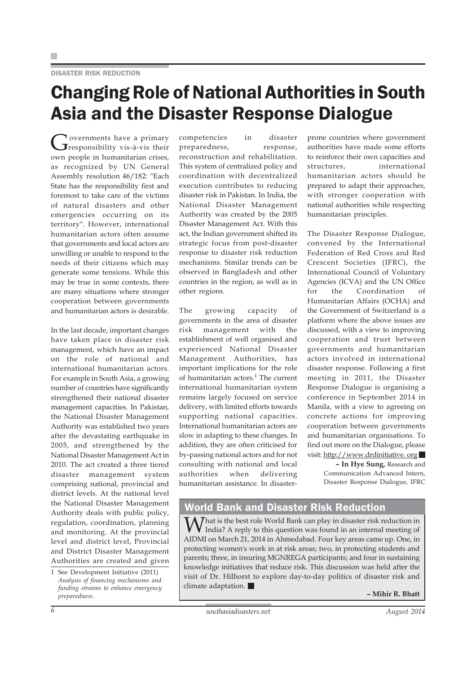## DISASTER RISK REDUCTION

# Changing Role of National Authorities in South Asia and the Disaster Response Dialogue

Governments have a primary<br>
Gresponsibility vis-à-vis their own people in humanitarian crises, as recognized by UN General Assembly resolution 46/182: "Each State has the responsibility first and foremost to take care of the victims of natural disasters and other emergencies occurring on its territory". However, international humanitarian actors often assume that governments and local actors are unwilling or unable to respond to the needs of their citizens which may generate some tensions. While this may be true in some contexts, there are many situations where stronger cooperation between governments and humanitarian actors is desirable.

In the last decade, important changes have taken place in disaster risk management, which have an impact on the role of national and international humanitarian actors. For example in South Asia, a growing number of countries have significantly strengthened their national disaster management capacities. In Pakistan, the National Disaster Management Authority was established two years after the devastating earthquake in 2005, and strengthened by the National Disaster Management Act in 2010. The act created a three tiered disaster management system comprising national, provincial and district levels. At the national level the National Disaster Management Authority deals with public policy, regulation, coordination, planning and monitoring. At the provincial level and district level, Provincial and District Disaster Management Authorities are created and given

1 See Development Initiative (2011) *Analysis of financing mechanisms and funding streams to enhance emergency preparedness.*

competencies in disaster preparedness, response, reconstruction and rehabilitation. This system of centralized policy and coordination with decentralized execution contributes to reducing disaster risk in Pakistan. In India, the National Disaster Management Authority was created by the 2005 Disaster Management Act. With this act, the Indian government shifted its strategic focus from post-disaster response to disaster risk reduction mechanisms. Similar trends can be observed in Bangladesh and other countries in the region, as well as in other regions.

The growing capacity of governments in the area of disaster risk management with the establishment of well organised and experienced National Disaster Management Authorities, has important implications for the role of humanitarian actors.<sup>1</sup> The current international humanitarian system remains largely focused on service delivery, with limited efforts towards supporting national capacities. International humanitarian actors are slow in adapting to these changes. In addition, they are often criticised for by-passing national actors and for not consulting with national and local authorities when delivering humanitarian assistance. In disasterprone countries where government authorities have made some efforts to reinforce their own capacities and structures, international humanitarian actors should be prepared to adapt their approaches, with stronger cooperation with national authorities while respecting humanitarian principles.

The Disaster Response Dialogue, convened by the International Federation of Red Cross and Red Crescent Societies (IFRC), the International Council of Voluntary Agencies (ICVA) and the UN Office for the Coordination of Humanitarian Affairs (OCHA) and the Government of Switzerland is a platform where the above issues are discussed, with a view to improving cooperation and trust between governments and humanitarian actors involved in international disaster response. Following a first meeting in 2011, the Disaster Response Dialogue is organising a conference in September 2014 in Manila, with a view to agreeing on concrete actions for improving cooperation between governments and humanitarian organisations. To find out more on the Dialogue, please visit: http://www.drdinitiative. org

> **– In Hye Sung,** Research and Communication Advanced Intern, Disaster Response Dialogue, IFRC

## World Bank and Disaster Risk Reduction

That is the best role World Bank can play in disaster risk reduction in India? A reply to this question was found in an internal meeting of AIDMI on March 21, 2014 in Ahmedabad. Four key areas came up. One, in protecting women's work in at risk areas; two, in protecting students and parents; three, in insuring MGNREGA participants; and four in sustaining knowledge initiatives that reduce risk. This discussion was held after the visit of Dr. Hilhorst to explore day-to-day politics of disaster risk and climate adaptation.

**– Mihir R. Bhatt**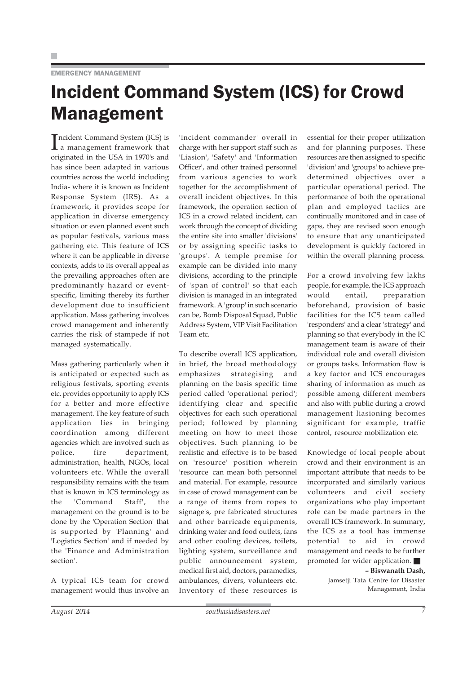# Incident Command System (ICS) for Crowd Management

Incident Command System (ICS) is<br>a management framework that a management framework that originated in the USA in 1970's and has since been adapted in various countries across the world including India- where it is known as Incident Response System (IRS). As a framework, it provides scope for application in diverse emergency situation or even planned event such as popular festivals, various mass gathering etc. This feature of ICS where it can be applicable in diverse contexts, adds to its overall appeal as the prevailing approaches often are predominantly hazard or eventspecific, limiting thereby its further development due to insufficient application. Mass gathering involves crowd management and inherently carries the risk of stampede if not managed systematically.

Mass gathering particularly when it is anticipated or expected such as religious festivals, sporting events etc. provides opportunity to apply ICS for a better and more effective management. The key feature of such application lies in bringing coordination among different agencies which are involved such as police, fire department, administration, health, NGOs, local volunteers etc. While the overall responsibility remains with the team that is known in ICS terminology as the 'Command Staff', the management on the ground is to be done by the 'Operation Section' that is supported by 'Planning' and 'Logistics Section' and if needed by the 'Finance and Administration section'.

A typical ICS team for crowd management would thus involve an

'incident commander' overall in charge with her support staff such as 'Liasion', 'Safety' and 'Information Officer', and other trained personnel from various agencies to work together for the accomplishment of overall incident objectives. In this framework, the operation section of ICS in a crowd related incident, can work through the concept of dividing the entire site into smaller 'divisions' or by assigning specific tasks to 'groups'. A temple premise for example can be divided into many divisions, according to the principle of 'span of control' so that each division is managed in an integrated framework. A 'group' in such scenario can be, Bomb Disposal Squad, Public Address System, VIP Visit Facilitation Team etc.

To describe overall ICS application, in brief, the broad methodology emphasizes strategising and planning on the basis specific time period called 'operational period'; identifying clear and specific objectives for each such operational period; followed by planning meeting on how to meet those objectives. Such planning to be realistic and effective is to be based on 'resource' position wherein 'resource' can mean both personnel and material. For example, resource in case of crowd management can be a range of items from ropes to signage's, pre fabricated structures and other barricade equipments, drinking water and food outlets, fans and other cooling devices, toilets, lighting system, surveillance and public announcement system, medical first aid, doctors, paramedics, ambulances, divers, volunteers etc. Inventory of these resources is

essential for their proper utilization and for planning purposes. These resources are then assigned to specific 'division' and 'groups' to achieve predetermined objectives over a particular operational period. The performance of both the operational plan and employed tactics are continually monitored and in case of gaps, they are revised soon enough to ensure that any unanticipated development is quickly factored in within the overall planning process.

For a crowd involving few lakhs people, for example, the ICS approach would entail, preparation beforehand, provision of basic facilities for the ICS team called 'responders' and a clear 'strategy' and planning so that everybody in the IC management team is aware of their individual role and overall division or groups tasks. Information flow is a key factor and ICS encourages sharing of information as much as possible among different members and also with public during a crowd management liasioning becomes significant for example, traffic control, resource mobilization etc.

Knowledge of local people about crowd and their environment is an important attribute that needs to be incorporated and similarly various volunteers and civil society organizations who play important role can be made partners in the overall ICS framework. In summary, the ICS as a tool has immense potential to aid in crowd management and needs to be further promoted for wider application.

## **– Biswanath Dash,**

Jamsetji Tata Centre for Disaster Management, India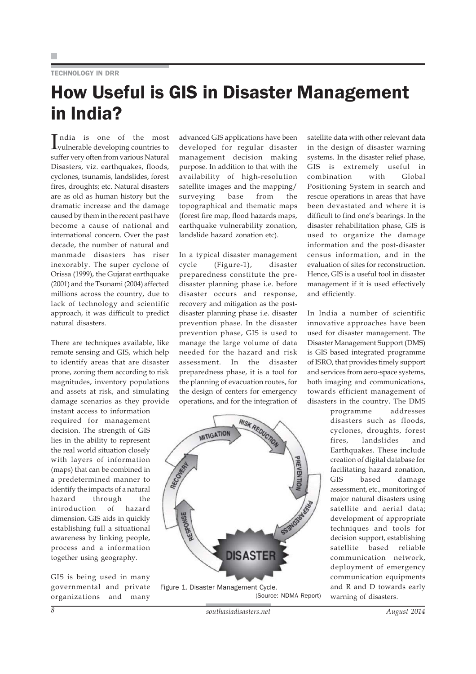## TECHNOLOGY IN DRR

# How Useful is GIS in Disaster Management in India?

India is one of the most<br>Ivulnerable developing countries to vulnerable developing countries to suffer very often from various Natural Disasters, viz. earthquakes, floods, cyclones, tsunamis, landslides, forest fires, droughts; etc. Natural disasters are as old as human history but the dramatic increase and the damage caused by them in the recent past have become a cause of national and international concern. Over the past decade, the number of natural and manmade disasters has riser inexorably. The super cyclone of Orissa (1999), the Gujarat earthquake (2001) and the Tsunami (2004) affected millions across the country, due to lack of technology and scientific approach, it was difficult to predict natural disasters.

There are techniques available, like remote sensing and GIS, which help to identify areas that are disaster prone, zoning them according to risk magnitudes, inventory populations and assets at risk, and simulating damage scenarios as they provide

instant access to information required for management decision. The strength of GIS lies in the ability to represent the real world situation closely with layers of information (maps) that can be combined in a predetermined manner to identify the impacts of a natural hazard through the introduction of hazard dimension. GIS aids in quickly establishing full a situational awareness by linking people, process and a information together using geography.

GIS is being used in many governmental and private organizations and many advanced GIS applications have been developed for regular disaster management decision making purpose. In addition to that with the availability of high-resolution satellite images and the mapping/ surveying base from the topographical and thematic maps (forest fire map, flood hazards maps, earthquake vulnerability zonation, landslide hazard zonation etc).

In a typical disaster management cycle (Figure-1), disaster preparedness constitute the predisaster planning phase i.e. before disaster occurs and response, recovery and mitigation as the postdisaster planning phase i.e. disaster prevention phase. In the disaster prevention phase, GIS is used to manage the large volume of data needed for the hazard and risk assessment. In the disaster preparedness phase, it is a tool for the planning of evacuation routes, for the design of centers for emergency operations, and for the integration of



satellite data with other relevant data in the design of disaster warning systems. In the disaster relief phase, GIS is extremely useful in combination with Global Positioning System in search and rescue operations in areas that have been devastated and where it is difficult to find one's bearings. In the disaster rehabilitation phase, GIS is used to organize the damage information and the post-disaster census information, and in the evaluation of sites for reconstruction. Hence, GIS is a useful tool in disaster management if it is used effectively and efficiently.

In India a number of scientific innovative approaches have been used for disaster management. The Disaster Management Support (DMS) is GIS based integrated programme of ISRO, that provides timely support and services from aero-space systems, both imaging and communications, towards efficient management of disasters in the country. The DMS

> programme addresses disasters such as floods, cyclones, droughts, forest fires, landslides and Earthquakes. These include creation of digital database for facilitating hazard zonation, GIS based damage assessment, etc., monitoring of major natural disasters using satellite and aerial data; development of appropriate techniques and tools for decision support, establishing satellite based reliable communication network, deployment of emergency communication equipments and R and D towards early warning of disasters.

*<sup>8</sup> southasiadisasters.net August 2014*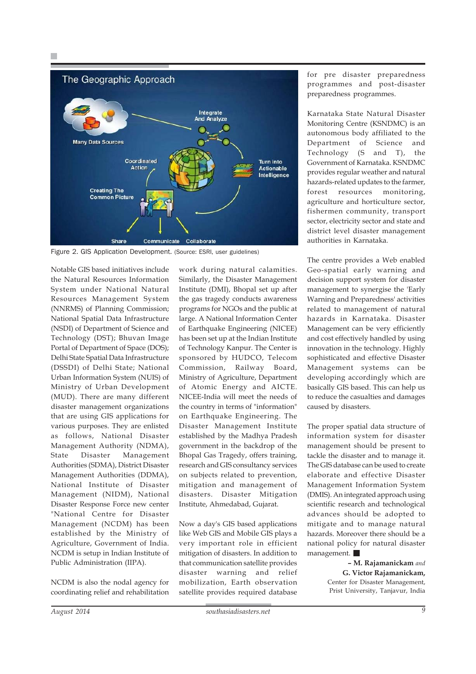

Figure 2. GIS Application Development. (Source: ESRI, user guidelines)

Notable GIS based initiatives include the Natural Resources Information System under National Natural Resources Management System (NNRMS) of Planning Commission; National Spatial Data Infrastructure (NSDI) of Department of Science and Technology (DST); Bhuvan Image Portal of Department of Space (DOS); Delhi State Spatial Data Infrastructure (DSSDI) of Delhi State; National Urban Information System (NUIS) of Ministry of Urban Development (MUD). There are many different disaster management organizations that are using GIS applications for various purposes. They are enlisted as follows, National Disaster Management Authority (NDMA), State Disaster Management Authorities (SDMA), District Disaster Management Authorities (DDMA), National Institute of Disaster Management (NIDM), National Disaster Response Force new center "National Centre for Disaster Management (NCDM) has been established by the Ministry of Agriculture, Government of India. NCDM is setup in Indian Institute of Public Administration (IIPA).

NCDM is also the nodal agency for coordinating relief and rehabilitation work during natural calamities. Similarly, the Disaster Management Institute (DMI), Bhopal set up after the gas tragedy conducts awareness programs for NGOs and the public at large. A National Information Center of Earthquake Engineering (NICEE) has been set up at the Indian Institute of Technology Kanpur. The Center is sponsored by HUDCO, Telecom Commission, Railway Board, Ministry of Agriculture, Department of Atomic Energy and AICTE. NICEE-India will meet the needs of the country in terms of "information" on Earthquake Engineering. The Disaster Management Institute established by the Madhya Pradesh government in the backdrop of the Bhopal Gas Tragedy, offers training, research and GIS consultancy services on subjects related to prevention, mitigation and management of disasters. Disaster Mitigation Institute, Ahmedabad, Gujarat.

Now a day's GIS based applications like Web GIS and Mobile GIS plays a very important role in efficient mitigation of disasters. In addition to that communication satellite provides disaster warning and relief mobilization, Earth observation satellite provides required database

for pre disaster preparedness programmes and post-disaster preparedness programmes.

Karnataka State Natural Disaster Monitoring Centre (KSNDMC) is an autonomous body affiliated to the Department of Science and Technology (S and T), the Government of Karnataka. KSNDMC provides regular weather and natural hazards-related updates to the farmer, forest resources monitoring, agriculture and horticulture sector, fishermen community, transport sector, electricity sector and state and district level disaster management authorities in Karnataka.

The centre provides a Web enabled Geo-spatial early warning and decision support system for disaster management to synergise the 'Early Warning and Preparedness' activities related to management of natural hazards in Karnataka. Disaster Management can be very efficiently and cost effectively handled by using innovation in the technology. Highly sophisticated and effective Disaster Management systems can be developing accordingly which are basically GIS based. This can help us to reduce the casualties and damages caused by disasters.

The proper spatial data structure of information system for disaster management should be present to tackle the disaster and to manage it. The GIS database can be used to create elaborate and effective Disaster Management Information System (DMIS). An integrated approach using scientific research and technological advances should be adopted to mitigate and to manage natural hazards. Moreover there should be a national policy for natural disaster management.

> **– M. Rajamanickam** *and* **G. Victor Rajamanickam,** Center for Disaster Management, Prist University, Tanjavur, India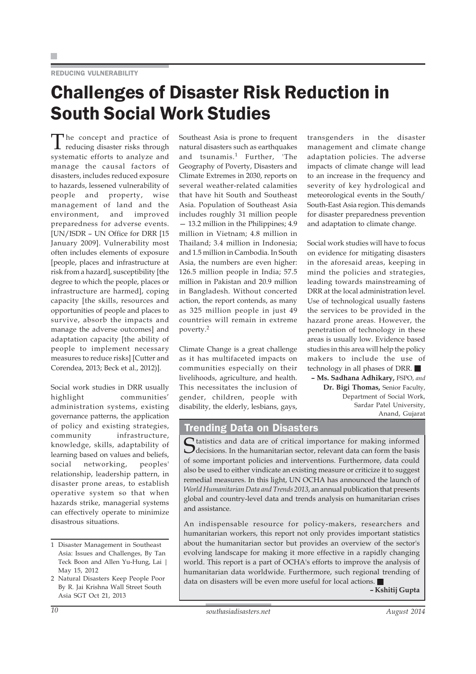## REDUCING VULNERABILITY

# Challenges of Disaster Risk Reduction in South Social Work Studies

The concept and practice of reducing disaster risks through systematic efforts to analyze and manage the causal factors of disasters, includes reduced exposure to hazards, lessened vulnerability of people and property, wise management of land and the environment, and improved preparedness for adverse events. [UN/ISDR – UN Office for DRR [15 January 2009]. Vulnerability most often includes elements of exposure [people, places and infrastructure at risk from a hazard], susceptibility [the degree to which the people, places or infrastructure are harmed], coping capacity [the skills, resources and opportunities of people and places to survive, absorb the impacts and manage the adverse outcomes] and adaptation capacity [the ability of people to implement necessary measures to reduce risks] [Cutter and Corendea, 2013; Beck et al., 2012)].

Social work studies in DRR usually highlight communities' administration systems, existing governance patterns, the application of policy and existing strategies, community infrastructure, knowledge, skills, adaptability of learning based on values and beliefs, social networking, peoples' relationship, leadership pattern, in disaster prone areas, to establish operative system so that when hazards strike, managerial systems can effectively operate to minimize disastrous situations.

Southeast Asia is prone to frequent natural disasters such as earthquakes and tsunamis.<sup>1</sup> Further, 'The Geography of Poverty, Disasters and Climate Extremes in 2030, reports on several weather-related calamities that have hit South and Southeast Asia. Population of Southeast Asia includes roughly 31 million people — 13.2 million in the Philippines; 4.9 million in Vietnam; 4.8 million in Thailand; 3.4 million in Indonesia; and 1.5 million in Cambodia. In South Asia, the numbers are even higher: 126.5 million people in India; 57.5 million in Pakistan and 20.9 million in Bangladesh. Without concerted action, the report contends, as many as 325 million people in just 49 countries will remain in extreme poverty.<sup>2</sup>

Climate Change is a great challenge as it has multifaceted impacts on communities especially on their livelihoods, agriculture, and health. This necessitates the inclusion of gender, children, people with disability, the elderly, lesbians, gays,

transgenders in the disaster management and climate change adaptation policies. The adverse impacts of climate change will lead to an increase in the frequency and severity of key hydrological and meteorological events in the South/ South-East Asia region. This demands for disaster preparedness prevention and adaptation to climate change.

Social work studies will have to focus on evidence for mitigating disasters in the aforesaid areas, keeping in mind the policies and strategies, leading towards mainstreaming of DRR at the local administration level. Use of technological usually fastens the services to be provided in the hazard prone areas. However, the penetration of technology in these areas is usually low. Evidence based studies in this area will help the policy makers to include the use of technology in all phases of DRR.

**– Ms. Sadhana Adhikary,** FSPO, *and* **Dr. Bigi Thomas,** Senior Faculty, Department of Social Work, Sardar Patel University, Anand, Gujarat

## Trending Data on Disasters

 $\bigcap$  tatistics and data are of critical importance for making informed  $\bigcup$  decisions. In the humanitarian sector, relevant data can form the basis of some important policies and interventions. Furthermore, data could also be used to either vindicate an existing measure or criticize it to suggest remedial measures. In this light, UN OCHA has announced the launch of *World Humanitarian Data and Trends 2013*, an annual publication that presents global and country-level data and trends analysis on humanitarian crises and assistance.

An indispensable resource for policy-makers, researchers and humanitarian workers, this report not only provides important statistics about the humanitarian sector but provides an overview of the sector's evolving landscape for making it more effective in a rapidly changing world. This report is a part of OCHA's efforts to improve the analysis of humanitarian data worldwide. Furthermore, such regional trending of data on disasters will be even more useful for local actions.

**– Kshitij Gupta**

<sup>1</sup> Disaster Management in Southeast Asia: Issues and Challenges, By Tan Teck Boon and Allen Yu-Hung, Lai | May 15, 2012

<sup>2</sup> Natural Disasters Keep People Poor By R. Jai Krishna Wall Street South Asia SGT Oct 21, 2013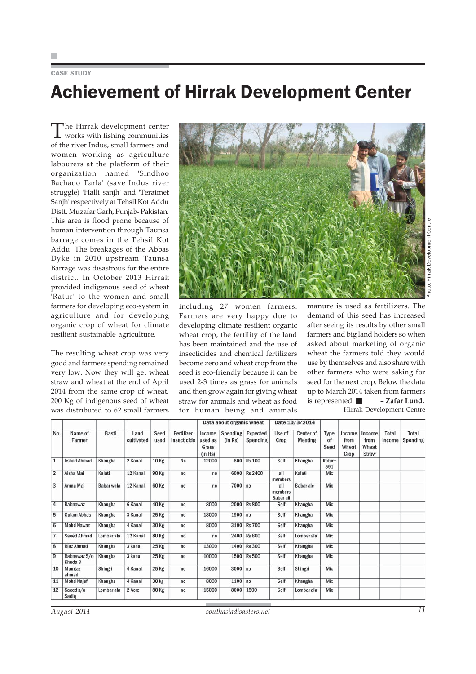CASE STUDY

# Achievement of Hirrak Development Center

The Hirrak development center works with fishing communities of the river Indus, small farmers and women working as agriculture labourers at the platform of their organization named 'Sindhoo Bachaoo Tarla' (save Indus river struggle) 'Halli sanjh' and 'Teraimet Sanjh' respectively at Tehsil Kot Addu Distt. Muzafar Garh, Punjab- Pakistan. This area is flood prone because of human intervention through Taunsa barrage comes in the Tehsil Kot Addu. The breakages of the Abbas Dyke in 2010 upstream Taunsa Barrage was disastrous for the entire district. In October 2013 Hirrak provided indigenous seed of wheat 'Ratur' to the women and small farmers for developing eco-system in agriculture and for developing organic crop of wheat for climate resilient sustainable agriculture.

The resulting wheat crop was very good and farmers spending remained very low. Now they will get wheat straw and wheat at the end of April 2014 from the same crop of wheat. 200 Kg of indigenous seed of wheat was distributed to 62 small farmers



including 27 women farmers. Farmers are very happy due to developing climate resilient organic wheat crop, the fertility of the land has been maintained and the use of insecticides and chemical fertilizers become zero and wheat crop from the seed is eco-friendly because it can be used 2-3 times as grass for animals and then grow again for giving wheat straw for animals and wheat as food for human being and animals

manure is used as fertilizers. The demand of this seed has increased after seeing its results by other small farmers and big land holders so when asked about marketing of organic wheat the farmers told they would use by themselves and also share with other farmers who were asking for seed for the next crop. Below the data up to March 2014 taken from farmers is represented. **– Zafar Lund,** Hirrak Development Centre

| No.            | Name of<br>Farmer       | <b>Basti</b> | Land<br>cultivated | Seed<br>used | Fertilizer<br>Insecticide | Data about organic wheat              |                     |                      | Date 10/3/2014              |                      |                    |                                 |                                  |                        |                   |
|----------------|-------------------------|--------------|--------------------|--------------|---------------------------|---------------------------------------|---------------------|----------------------|-----------------------------|----------------------|--------------------|---------------------------------|----------------------------------|------------------------|-------------------|
|                |                         |              |                    |              |                           | Income<br>used as<br>Grass<br>(in Rs) | Spending<br>(in Rs) | Expected<br>Spending | Use of<br>Crop              | Center of<br>Meeting | Type<br>of<br>Seed | Income<br>from<br>Wheat<br>Crop | Income<br>from<br>Wheat<br>Straw | <b>Total</b><br>Income | Total<br>Spending |
| $\mathbf{1}$   | <b>Irshad Ahmad</b>     | Khangha      | 2 Kanal            | 10 Kg        | No                        | 12000                                 | 800                 | <b>Rs 100</b>        | Self                        | Khangha              | Ratur+<br>591      |                                 |                                  |                        |                   |
| $\overline{2}$ | Aisha Mai               | Kalati       | 12 Kanal           | 90 Kg        | no                        | no                                    | 6000                | <b>Rs 2400</b>       | all<br>members              | Kalati               | Mix                |                                 |                                  |                        |                   |
| 3              | Amna Mai                | Babar wala   | 12 Kanal           | 60 Kg        | no                        | no                                    | 7000 no             |                      | all<br>members<br>Babar ali | Babar ale            | Mix                |                                 |                                  |                        |                   |
| $\overline{4}$ | Rabnawaz                | Khangha      | 6 Kanal            | 40 Kg        | no                        | 8000                                  | 2000                | <b>Rs 800</b>        | Self                        | Khangha              | Mix                |                                 |                                  |                        |                   |
| 5              | <b>Gulam Abbas</b>      | Khangha      | 3 Kanal            | 25 Kg        | no                        | 18000                                 | 1900 no             |                      | Self                        | Khangha              | Mix                |                                 |                                  |                        |                   |
| 6              | <b>Mohd Nawaz</b>       | Khangha      | 4 Kanal            | 30 Kg        | no                        | 8000                                  |                     | 3100 Rs 700          | Self                        | Khangha              | Mix                |                                 |                                  |                        |                   |
| $\overline{7}$ | <b>Saeed Ahmad</b>      | Lombar ala   | 12 Kanal           | 80 Kg        | no                        | no                                    |                     | 2400 Rs 800          | Self                        | Lombar ala           | Mix                |                                 |                                  |                        |                   |
| 8              | <b>Riaz Ahmad</b>       | Khangha      | 3 kanal            | <b>25 Kg</b> | no                        | 13000                                 | 1400                | <b>Rs 300</b>        | Self                        | Khangha              | Mix                |                                 |                                  |                        |                   |
| $\overline{9}$ | Rabnawaz S/o<br>Khuda B | Khangha      | 3 kanal            | 25 Kg        | no                        | 10000                                 | 1500                | <b>Rs 500</b>        | Self                        | Khangha              | Mix                |                                 |                                  |                        |                   |
| 10             | Mumtaz<br>ahmad         | Shingri      | 4 Kanal            | 25 Kg        | no                        | 16000                                 | 3000 no             |                      | Self                        | Shingri              | Mix                |                                 |                                  |                        |                   |
| 11             | <b>Mohd Najaf</b>       | Khangha      | 4 Kanal            | 30 kg        | no                        | 8000                                  | $1100$ no           |                      | Self                        | Khangha              | Mix                |                                 |                                  |                        |                   |
| 12             | Saeed s/o               | Lombar ala   | 2 Acre             | <b>80 Kg</b> | no                        | 15000                                 | 8000                | 1500                 | Self                        | Lombar ala           | Mix                |                                 |                                  |                        |                   |

Photo: Hirrak Development CentreHirrak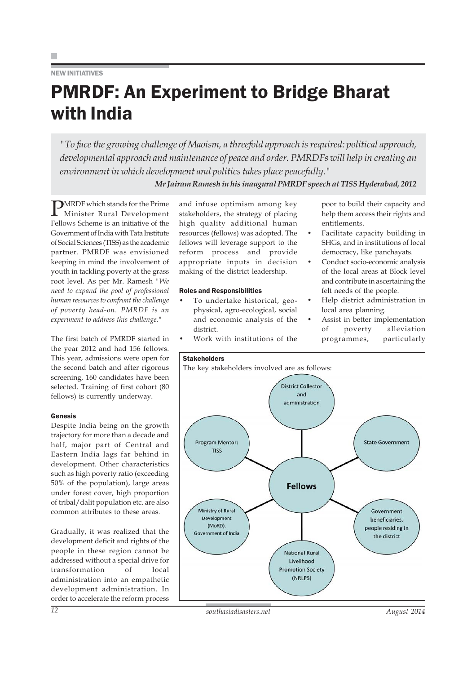## NEW INITIATIVES

# PMRDF: An Experiment to Bridge Bharat with India

*"To face the growing challenge of Maoism, a threefold approach is required: political approach, developmental approach and maintenance of peace and order. PMRDFs will help in creating an environment in which development and politics takes place peacefully." Mr Jairam Ramesh in his inaugural PMRDF speech at TISS Hyderabad, 2012*

**PMRDF** which stands for the Prime Minister Rural Development Fellows Scheme is an initiative of the Government of India with Tata Institute of Social Sciences (TISS) as the academic partner. PMRDF was envisioned keeping in mind the involvement of youth in tackling poverty at the grass root level. As per Mr. Ramesh *"We need to expand the pool of professional human resources to confront the challenge of poverty head-on. PMRDF is an experiment to address this challenge."*

The first batch of PMRDF started in the year 2012 and had 156 fellows. This year, admissions were open for the second batch and after rigorous screening, 160 candidates have been selected. Training of first cohort (80 fellows) is currently underway.

## Genesis

Despite India being on the growth trajectory for more than a decade and half, major part of Central and Eastern India lags far behind in development. Other characteristics such as high poverty ratio (exceeding 50% of the population), large areas under forest cover, high proportion of tribal/dalit population etc. are also common attributes to these areas.

Gradually, it was realized that the development deficit and rights of the people in these region cannot be addressed without a special drive for transformation of local administration into an empathetic development administration. In order to accelerate the reform process

and infuse optimism among key stakeholders, the strategy of placing high quality additional human resources (fellows) was adopted. The fellows will leverage support to the reform process and provide appropriate inputs in decision making of the district leadership.

## Roles and Responsibilities

- To undertake historical, geophysical, agro-ecological, social and economic analysis of the district.
- Work with institutions of the

poor to build their capacity and help them access their rights and entitlements.

- Facilitate capacity building in SHGs, and in institutions of local democracy, like panchayats.
- Conduct socio-economic analysis of the local areas at Block level and contribute in ascertaining the felt needs of the people.
- Help district administration in local area planning.
- Assist in better implementation of poverty alleviation programmes, particularly

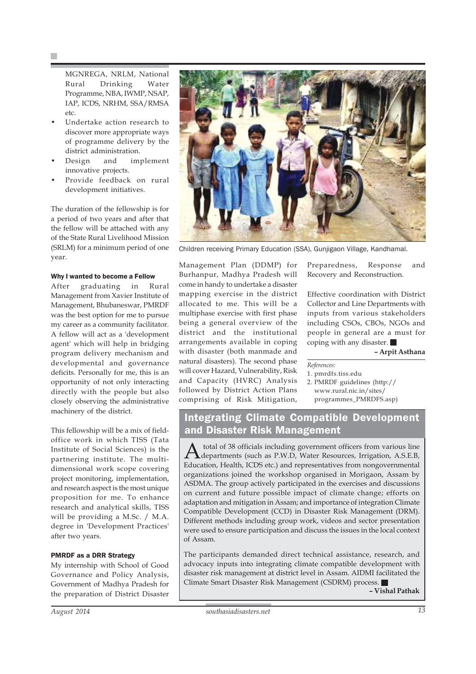MGNREGA, NRLM, National Rural Drinking Water Programme, NBA, IWMP, NSAP, IAP, ICDS, NRHM, SSA/RMSA etc.

- Undertake action research to discover more appropriate ways of programme delivery by the district administration.
- Design and implement innovative projects.
- Provide feedback on rural development initiatives.

The duration of the fellowship is for a period of two years and after that the fellow will be attached with any of the State Rural Livelihood Mission (SRLM) for a minimum period of one year.

## Why I wanted to become a Fellow

After graduating in Rural Management from Xavier Institute of Management, Bhubaneswar, PMRDF was the best option for me to pursue my career as a community facilitator. A fellow will act as a 'development agent' which will help in bridging program delivery mechanism and developmental and governance deficits. Personally for me, this is an opportunity of not only interacting directly with the people but also closely observing the administrative machinery of the district.

This fellowship will be a mix of fieldoffice work in which TISS (Tata Institute of Social Sciences) is the partnering institute. The multidimensional work scope covering project monitoring, implementation, and research aspect is the most unique proposition for me. To enhance research and analytical skills, TISS will be providing a M.Sc. / M.A. degree in 'Development Practices' after two years.

## PMRDF as a DRR Strategy

My internship with School of Good Governance and Policy Analysis, Government of Madhya Pradesh for the preparation of District Disaster



Children receiving Primary Education (SSA), Gunjigaon Village, Kandhamal.

## Management Plan (DDMP) for Burhanpur, Madhya Pradesh will come in handy to undertake a disaster mapping exercise in the district allocated to me. This will be a multiphase exercise with first phase being a general overview of the district and the institutional arrangements available in coping with disaster (both manmade and natural disasters). The second phase will cover Hazard, Vulnerability, Risk and Capacity (HVRC) Analysis followed by District Action Plans comprising of Risk Mitigation,

Preparedness, Response and Recovery and Reconstruction.

Effective coordination with District Collector and Line Departments with inputs from various stakeholders including CSOs, CBOs, NGOs and people in general are a must for coping with any disaster.

**– Arpit Asthana**

*References:*

1. pmrdfs.tiss.edu 2. PMRDF guidelines (http:// www.rural.nic.in/sites/ programmes\_PMRDFS.asp)

## Integrating Climate Compatible Development and Disaster Risk Management

A total of 38 officials including government officers from various line<br>departments (such as P.W.D, Water Resources, Irrigation, A.S.E.B, Education, Health, ICDS etc.) and representatives from nongovernmental organizations joined the workshop organised in Morigaon, Assam by ASDMA. The group actively participated in the exercises and discussions on current and future possible impact of climate change; efforts on adaptation and mitigation in Assam; and importance of integration Climate Compatible Development (CCD) in Disaster Risk Management (DRM). Different methods including group work, videos and sector presentation were used to ensure participation and discuss the issues in the local context of Assam.

The participants demanded direct technical assistance, research, and advocacy inputs into integrating climate compatible development with disaster risk management at district level in Assam. AIDMI facilitated the Climate Smart Disaster Risk Management (CSDRM) process. **– Vishal Pathak**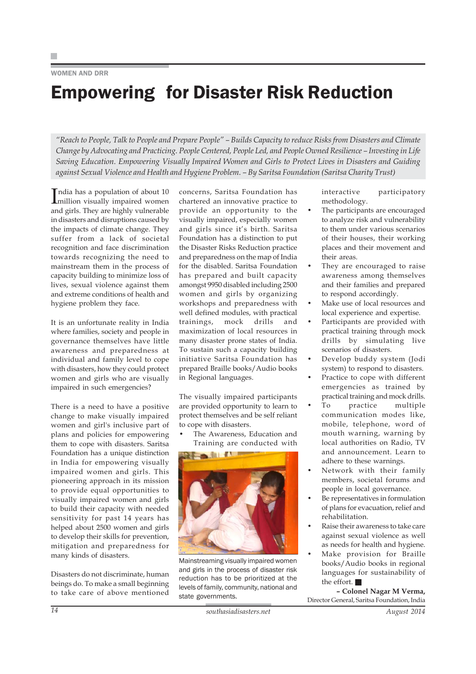## WOMEN AND DRR

# Empowering for Disaster Risk Reduction

*"Reach to People, Talk to People and Prepare People" – Builds Capacity to reduce Risks from Disasters and Climate Change by Advocating and Practicing. People Centered, People Led, and People Owned Resilience – Investing in Life Saving Education. Empowering Visually Impaired Women and Girls to Protect Lives in Disasters and Guiding against Sexual Violence and Health and Hygiene Problem. – By Saritsa Foundation (Saritsa Charity Trust)*

India has a population of about 10<br>
million visually impaired women million visually impaired women and girls. They are highly vulnerable in disasters and disruptions caused by the impacts of climate change. They suffer from a lack of societal recognition and face discrimination towards recognizing the need to mainstream them in the process of capacity building to minimize loss of lives, sexual violence against them and extreme conditions of health and hygiene problem they face.

It is an unfortunate reality in India where families, society and people in governance themselves have little awareness and preparedness at individual and family level to cope with disasters, how they could protect women and girls who are visually impaired in such emergencies?

There is a need to have a positive change to make visually impaired women and girl's inclusive part of plans and policies for empowering them to cope with disasters. Saritsa Foundation has a unique distinction in India for empowering visually impaired women and girls. This pioneering approach in its mission to provide equal opportunities to visually impaired women and girls to build their capacity with needed sensitivity for past 14 years has helped about 2500 women and girls to develop their skills for prevention, mitigation and preparedness for many kinds of disasters.

Disasters do not discriminate, human beings do. To make a small beginning to take care of above mentioned

concerns, Saritsa Foundation has chartered an innovative practice to provide an opportunity to the visually impaired, especially women and girls since it's birth. Saritsa Foundation has a distinction to put the Disaster Risks Reduction practice and preparedness on the map of India for the disabled. Saritsa Foundation has prepared and built capacity amongst 9950 disabled including 2500 women and girls by organizing workshops and preparedness with well defined modules, with practical trainings, mock drills and maximization of local resources in many disaster prone states of India. To sustain such a capacity building initiative Saritsa Foundation has prepared Braille books/Audio books in Regional languages.

The visually impaired participants are provided opportunity to learn to protect themselves and be self reliant to cope with disasters.

The Awareness, Education and Training are conducted with



Mainstreaming visually impaired women and girls in the process of disaster risk reduction has to be prioritized at the levels of family, community, national and state governments.

interactive participatory methodology.

- The participants are encouraged to analyze risk and vulnerability to them under various scenarios of their houses, their working places and their movement and their areas.
- They are encouraged to raise awareness among themselves and their families and prepared to respond accordingly.
- Make use of local resources and local experience and expertise.
- Participants are provided with practical training through mock drills by simulating live scenarios of disasters.
- Develop buddy system (Jodi system) to respond to disasters.
- Practice to cope with different emergencies as trained by practical training and mock drills.
- To practice multiple communication modes like, mobile, telephone, word of mouth warning, warning by local authorities on Radio, TV and announcement. Learn to adhere to these warnings.
- Network with their family members, societal forums and people in local governance.
- Be representatives in formulation of plans for evacuation, relief and rehabilitation.
- Raise their awareness to take care against sexual violence as well as needs for health and hygiene.
- Make provision for Braille books/Audio books in regional languages for sustainability of the effort.

**– Colonel Nagar M Verma,** Director General, Saritsa Foundation, India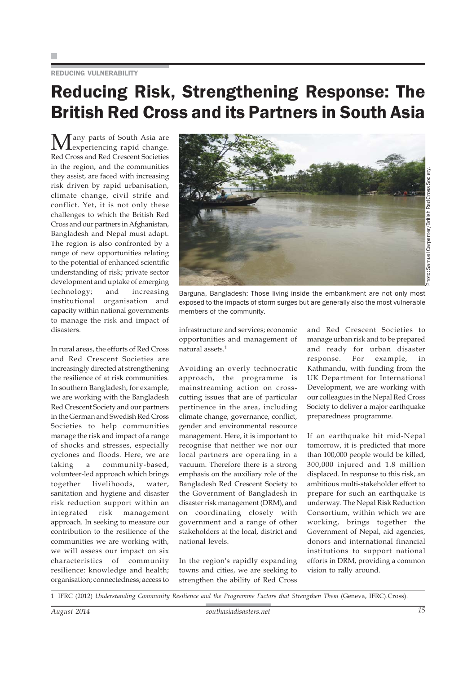## REDUCING VULNERABILITY

## Reducing Risk, Strengthening Response: The British Red Cross and its Partners in South Asia

Many parts of South Asia are<br>experiencing rapid change. Red Cross and Red Crescent Societies in the region, and the communities they assist, are faced with increasing risk driven by rapid urbanisation, climate change, civil strife and conflict. Yet, it is not only these challenges to which the British Red Cross and our partners in Afghanistan, Bangladesh and Nepal must adapt. The region is also confronted by a range of new opportunities relating to the potential of enhanced scientific understanding of risk; private sector development and uptake of emerging technology; and increasing institutional organisation and capacity within national governments to manage the risk and impact of disasters.

In rural areas, the efforts of Red Cross and Red Crescent Societies are increasingly directed at strengthening the resilience of at risk communities. In southern Bangladesh, for example, we are working with the Bangladesh Red Crescent Society and our partners in the German and Swedish Red Cross Societies to help communities manage the risk and impact of a range of shocks and stresses, especially cyclones and floods. Here, we are taking a community-based, volunteer-led approach which brings together livelihoods, water, sanitation and hygiene and disaster risk reduction support within an integrated risk management approach. In seeking to measure our contribution to the resilience of the communities we are working with, we will assess our impact on six characteristics of community resilience: knowledge and health; organisation; connectedness; access to



Barguna, Bangladesh: Those living inside the embankment are not only most exposed to the impacts of storm surges but are generally also the most vulnerable members of the community.

infrastructure and services; economic opportunities and management of natural assets.<sup>1</sup>

Avoiding an overly technocratic approach, the programme is mainstreaming action on crosscutting issues that are of particular pertinence in the area, including climate change, governance, conflict, gender and environmental resource management. Here, it is important to recognise that neither we nor our local partners are operating in a vacuum. Therefore there is a strong emphasis on the auxiliary role of the Bangladesh Red Crescent Society to the Government of Bangladesh in disaster risk management (DRM), and on coordinating closely with government and a range of other stakeholders at the local, district and national levels.

In the region's rapidly expanding towns and cities, we are seeking to strengthen the ability of Red Cross

and Red Crescent Societies to manage urban risk and to be prepared and ready for urban disaster response. For example, in Kathmandu, with funding from the UK Department for International Development, we are working with our colleagues in the Nepal Red Cross Society to deliver a major earthquake preparedness programme.

If an earthquake hit mid-Nepal tomorrow, it is predicted that more than 100,000 people would be killed, 300,000 injured and 1.8 million displaced. In response to this risk, an ambitious multi-stakeholder effort to prepare for such an earthquake is underway. The Nepal Risk Reduction Consortium, within which we are working, brings together the Government of Nepal, aid agencies, donors and international financial institutions to support national efforts in DRM, providing a common vision to rally around.

1 IFRC (2012) *Understanding Community Resilience and the Programme Factors that Strengthen Them* (Geneva, IFRC).Cross).